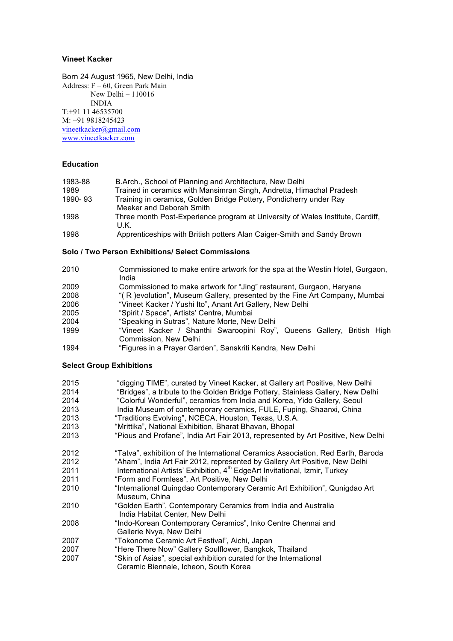## **Vineet Kacker**

Born 24 August 1965, New Delhi, India Address: F – 60, Green Park Main New Delhi – 110016 INDIA T:+91 11 46535700 M: +91 9818245423 vineetkacker@gmail.com www.vineetkacker.com

## **Education**

| 1983-88 | B.Arch., School of Planning and Architecture, New Delhi                        |
|---------|--------------------------------------------------------------------------------|
| 1989    | Trained in ceramics with Mansimran Singh, Andretta, Himachal Pradesh           |
| 1990-93 | Training in ceramics, Golden Bridge Pottery, Pondicherry under Ray             |
|         | Meeker and Deborah Smith                                                       |
| 1998    | Three month Post-Experience program at University of Wales Institute, Cardiff, |
|         | U.K.                                                                           |
|         |                                                                                |

1998 Apprenticeships with British potters Alan Caiger-Smith and Sandy Brown

## **Solo / Two Person Exhibitions/ Select Commissions**

| 2010 | Commissioned to make entire artwork for the spa at the Westin Hotel, Gurgaon, |
|------|-------------------------------------------------------------------------------|
|      | India                                                                         |
| 2009 | Commissioned to make artwork for "Jing" restaurant, Gurgaon, Haryana          |
| 2008 | "(R) evolution", Museum Gallery, presented by the Fine Art Company, Mumbai    |
| 2006 | "Vineet Kacker / Yushi Ito", Anant Art Gallery, New Delhi                     |
| 2005 | "Spirit / Space", Artists' Centre, Mumbai                                     |
| 2004 | "Speaking in Sutras", Nature Morte, New Delhi                                 |
| 1999 | "Vineet Kacker / Shanthi Swaroopini Roy", Queens Gallery, British High        |
|      | Commission, New Delhi                                                         |
| 1994 | "Figures in a Prayer Garden", Sanskriti Kendra, New Delhi                     |

# **Select Group Exhibitions**

| 2015<br>2014<br>2014<br>2013<br>2013 | "digging TIME", curated by Vineet Kacker, at Gallery art Positive, New Delhi<br>"Bridges", a tribute to the Golden Bridge Pottery, Stainless Gallery, New Delhi<br>"Colorful Wonderful", ceramics from India and Korea, Yido Gallery, Seoul<br>India Museum of contemporary ceramics, FULE, Fuping, Shaanxi, China<br>"Traditions Evolving", NCECA, Houston, Texas, U.S.A. |
|--------------------------------------|----------------------------------------------------------------------------------------------------------------------------------------------------------------------------------------------------------------------------------------------------------------------------------------------------------------------------------------------------------------------------|
| 2013                                 | "Mrittika", National Exhibition, Bharat Bhavan, Bhopal                                                                                                                                                                                                                                                                                                                     |
| 2013                                 | "Pious and Profane", India Art Fair 2013, represented by Art Positive, New Delhi                                                                                                                                                                                                                                                                                           |
| 2012                                 | "Tatva", exhibition of the International Ceramics Association, Red Earth, Baroda                                                                                                                                                                                                                                                                                           |
| 2012                                 | "Aham", India Art Fair 2012, represented by Gallery Art Positive, New Delhi                                                                                                                                                                                                                                                                                                |
| 2011                                 | International Artists' Exhibition, 4 <sup>th</sup> EdgeArt Invitational, Izmir, Turkey                                                                                                                                                                                                                                                                                     |
| 2011                                 | "Form and Formless", Art Positive, New Delhi                                                                                                                                                                                                                                                                                                                               |
| 2010                                 | "International Quingdao Contemporary Ceramic Art Exhibition", Qunigdao Art<br>Museum, China                                                                                                                                                                                                                                                                                |
| 2010                                 | "Golden Earth", Contemporary Ceramics from India and Australia<br>India Habitat Center, New Delhi                                                                                                                                                                                                                                                                          |
| 2008                                 | "Indo-Korean Contemporary Ceramics", Inko Centre Chennai and<br>Gallerie Nvya, New Delhi                                                                                                                                                                                                                                                                                   |
| 2007                                 | "Tokonome Ceramic Art Festival", Aichi, Japan                                                                                                                                                                                                                                                                                                                              |
| 2007                                 | "Here There Now" Gallery Soulflower, Bangkok, Thailand                                                                                                                                                                                                                                                                                                                     |
| 2007                                 | "Skin of Asias", special exhibition curated for the International<br>Ceramic Biennale, Icheon, South Korea                                                                                                                                                                                                                                                                 |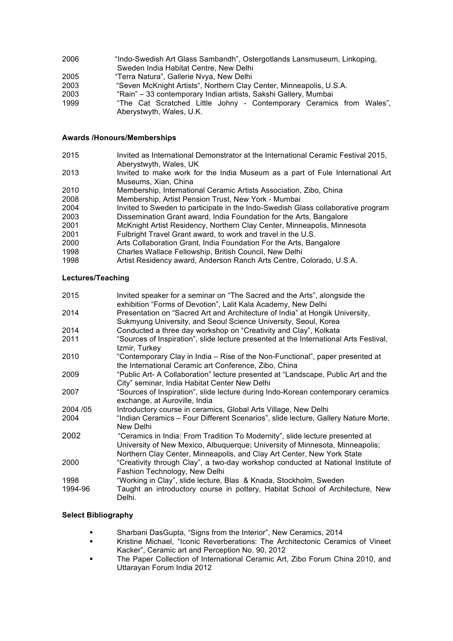- 2006 "Indo-Swedish Art Glass Sambandh", Ostergotlands Lansmuseum, Linkoping, Sweden India Habitat Centre, New Delhi 2005 "Terra Natura", Gallerie Nvya, New Delhi
- 2003 "Seven McKnight Artists", Northern Clay Center, Minneapolis, U.S.A.
- 2003 "Rain" 33 contemporary Indian artists, Sakshi Gallery, Mumbai
- 1999 "The Cat Scratched Little Johny Contemporary Ceramics from Wales", Aberystwyth, Wales, U.K.

#### **Awards /Honours/Memberships**

- 2015 Invited as International Demonstrator at the International Ceramic Festival 2015, Aberystwyth, Wales, UK
- 2013 Invited to make work for the India Museum as a part of Fule International Art Museums, Xian, China
- 2010 Membership, International Ceramic Artists Association, Zibo, China
- 2008 Membership, Artist Pension Trust, New York Mumbai
- 2004 Invited to Sweden to participate in the Indo-Swedish Glass collaborative program
- 2003 Dissemination Grant award, India Foundation for the Arts, Bangalore
- 2001 McKnight Artist Residency, Northern Clay Center, Minneapolis, Minnesota
- 2001 Fulbright Travel Grant award, to work and travel in the U.S.
- 2000 Arts Collaboration Grant, India Foundation For the Arts, Bangalore
- 1998 Charles Wallace Fellowship, British Council, New Delhi
- 1998 Artist Residency award, Anderson Ranch Arts Centre, Colorado, U.S.A.

#### **Lectures/Teaching**

| 2015      | Invited speaker for a seminar on "The Sacred and the Arts", alongside the<br>exhibition "Forms of Devotion", Lalit Kala Academy, New Delhi                   |
|-----------|--------------------------------------------------------------------------------------------------------------------------------------------------------------|
| 2014      | Presentation on "Sacred Art and Architecture of India" at Hongik University,<br>Sukmyung University, and Seoul Science University, Seoul, Korea              |
| 2014      | Conducted a three day workshop on "Creativity and Clay", Kolkata                                                                                             |
|           |                                                                                                                                                              |
| 2011      | "Sources of Inspiration", slide lecture presented at the International Arts Festival,<br>Izmir, Turkey                                                       |
| 2010      | "Contemporary Clay in India - Rise of the Non-Functional", paper presented at                                                                                |
|           | the International Ceramic art Conference, Zibo, China                                                                                                        |
| 2009      | "Public Art- A Collaboration" lecture presented at "Landscape, Public Art and the                                                                            |
|           | City" seminar, India Habitat Center New Delhi                                                                                                                |
| 2007      | "Sources of Inspiration", slide lecture during Indo-Korean contemporary ceramics<br>exchange, at Auroville, India                                            |
| 2004 / 05 | Introductory course in ceramics, Global Arts Village, New Delhi                                                                                              |
| 2004      | "Indian Ceramics - Four Different Scenarios", slide lecture, Gallery Nature Morte,<br>New Delhi                                                              |
| 2002      | "Ceramics in India: From Tradition To Modernity", slide lecture presented at<br>University of New Mexico, Albuquerque; University of Minnesota, Minneapolis; |
|           | Northern Clay Center, Minneapolis, and Clay Art Center, New York State                                                                                       |
| 2000      | "Creativity through Clay", a two-day workshop conducted at National Institute of                                                                             |
|           | Fashion Technology, New Delhi                                                                                                                                |
| 1998      | "Working in Clay", slide lecture, Blas & Knada, Stockholm, Sweden                                                                                            |
| 1994-96   | Taught an introductory course in pottery, Habitat School of Architecture, New<br>Delhi.                                                                      |

#### **Select Bibliography**

- Sharbani DasGupta, "Signs from the Interior", New Ceramics, 2014
- § Kristine Michael, "Iconic Reverberations: The Architectonic Ceramics of Vineet Kacker", Ceramic art and Perception No. 90, 2012
- The Paper Collection of International Ceramic Art, Zibo Forum China 2010, and Uttarayan Forum India 2012